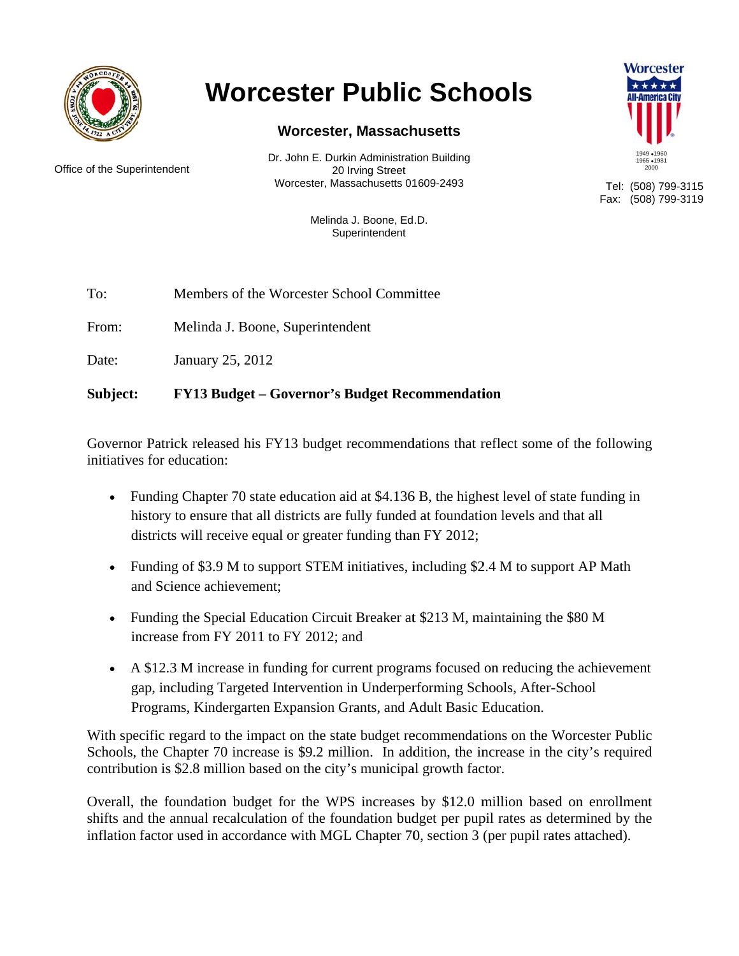

# **Worcester Public Schools**

### **Worcester, Massachusetts**

Office of the Superintendent

Dr. John E. Durkin Administration Building 20 Irving Street Worcester, Massachusetts 01609-2493



Tel: (508) 799-3115 Fax: (508) 799-3119

Melinda J. Boone, Ed.D. Superintendent

To: Members of the Worcester School Committee

From: Melinda J. Boone, Superintendent

Date: January 25, 2012

#### Subject: **FY13 Budget – Governor's Budget Recommendation**

Governor Patrick released his FY13 budget recommendations that reflect some of the following initiatives for education:

- Funding Chapter 70 state education aid at \$4.136 B, the highest level of state funding in history to ensure that all districts are fully funded at foundation levels and that all districts will receive equal or greater funding than FY 2012;
- Funding of \$3.9 M to support STEM initiatives, including \$2.4 M to support AP Math and Science achievement:
- Funding the Special Education Circuit Breaker at \$213 M, maintaining the \$80 M increase from FY 2011 to FY 2012; and
- A \$12.3 M increase in funding for current programs focused on reducing the achievement gap, including Targeted Intervention in Underperforming Schools, After-School Programs, Kindergarten Expansion Grants, and Adult Basic Education.

With specific regard to the impact on the state budget recommendations on the Worcester Public Schools, the Chapter 70 increase is \$9.2 million. In addition, the increase in the city's required contribution is \$2.8 million based on the city's municipal growth factor.

Overall, the foundation budget for the WPS increases by \$12.0 million based on enrollment shifts and the annual recalculation of the foundation budget per pupil rates as determined by the inflation factor used in accordance with MGL Chapter 70, section 3 (per pupil rates attached).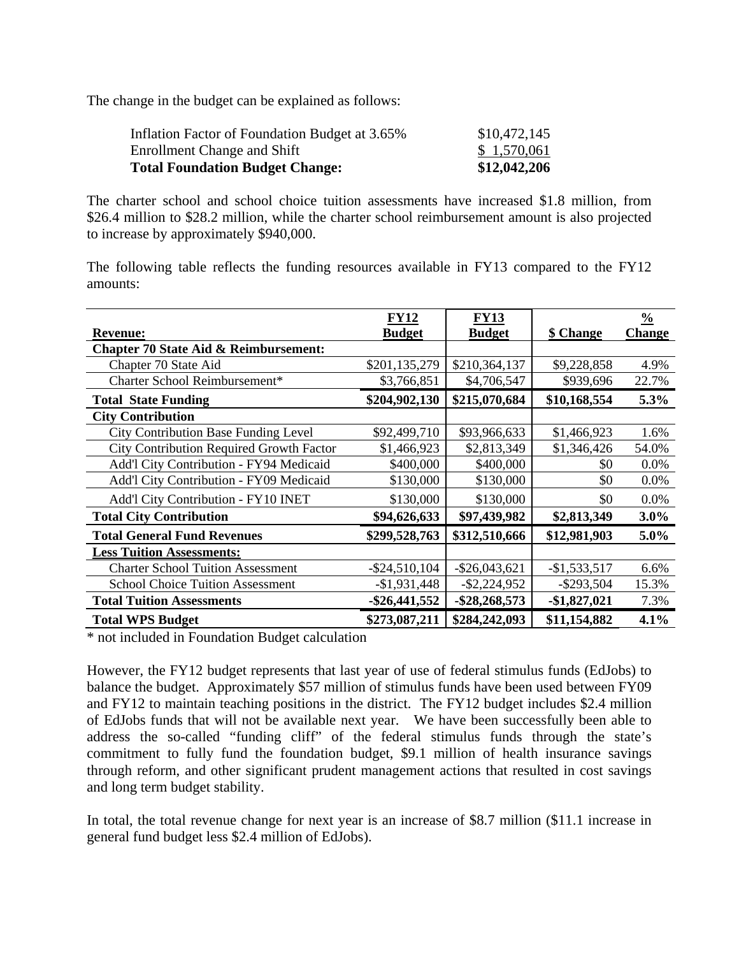The change in the budget can be explained as follows:

| Inflation Factor of Foundation Budget at 3.65% | \$10,472,145 |
|------------------------------------------------|--------------|
| Enrollment Change and Shift                    | \$1,570,061  |
| <b>Total Foundation Budget Change:</b>         | \$12,042,206 |

The charter school and school choice tuition assessments have increased \$1.8 million, from \$26.4 million to \$28.2 million, while the charter school reimbursement amount is also projected to increase by approximately \$940,000.

The following table reflects the funding resources available in FY13 compared to the FY12 amounts:

|                                                  | <b>FY12</b>      | <b>FY13</b>      |               | $\frac{0}{0}$ |
|--------------------------------------------------|------------------|------------------|---------------|---------------|
| <b>Revenue:</b>                                  | <b>Budget</b>    | <b>Budget</b>    | \$ Change     | <b>Change</b> |
| <b>Chapter 70 State Aid &amp; Reimbursement:</b> |                  |                  |               |               |
| Chapter 70 State Aid                             | \$201,135,279    | \$210,364,137    | \$9,228,858   | 4.9%          |
| Charter School Reimbursement*                    | \$3,766,851      | \$4,706,547      | \$939,696     | 22.7%         |
| <b>Total State Funding</b>                       | \$204,902,130    | \$215,070,684    | \$10,168,554  | 5.3%          |
| <b>City Contribution</b>                         |                  |                  |               |               |
| <b>City Contribution Base Funding Level</b>      | \$92,499,710     | \$93,966,633     | \$1,466,923   | 1.6%          |
| <b>City Contribution Required Growth Factor</b>  | \$1,466,923      | \$2,813,349      | \$1,346,426   | 54.0%         |
| Add'l City Contribution - FY94 Medicaid          | \$400,000        | \$400,000        | \$0           | 0.0%          |
| Add'l City Contribution - FY09 Medicaid          | \$130,000        | \$130,000        | \$0           | 0.0%          |
| <b>Add'l City Contribution - FY10 INET</b>       | \$130,000        | \$130,000        | \$0           | 0.0%          |
| <b>Total City Contribution</b>                   | \$94,626,633     | \$97,439,982     | \$2,813,349   | $3.0\%$       |
| <b>Total General Fund Revenues</b>               | \$299,528,763    | \$312,510,666    | \$12,981,903  | 5.0%          |
| <b>Less Tuition Assessments:</b>                 |                  |                  |               |               |
| <b>Charter School Tuition Assessment</b>         | $-$ \$24,510,104 | $-$ \$26,043,621 | $-$1,533,517$ | 6.6%          |
| <b>School Choice Tuition Assessment</b>          | $-$1,931,448$    | $-$ \$2,224,952  | $-$ \$293,504 | 15.3%         |
| <b>Total Tuition Assessments</b>                 | $-$ \$26,441,552 | -\$28,268,573    | $-$1,827,021$ | 7.3%          |
| <b>Total WPS Budget</b>                          | \$273,087,211    | \$284,242,093    | \$11,154,882  | 4.1%          |

\* not included in Foundation Budget calculation

However, the FY12 budget represents that last year of use of federal stimulus funds (EdJobs) to balance the budget. Approximately \$57 million of stimulus funds have been used between FY09 and FY12 to maintain teaching positions in the district. The FY12 budget includes \$2.4 million of EdJobs funds that will not be available next year. We have been successfully been able to address the so-called "funding cliff" of the federal stimulus funds through the state's commitment to fully fund the foundation budget, \$9.1 million of health insurance savings through reform, and other significant prudent management actions that resulted in cost savings and long term budget stability.

In total, the total revenue change for next year is an increase of \$8.7 million (\$11.1 increase in general fund budget less \$2.4 million of EdJobs).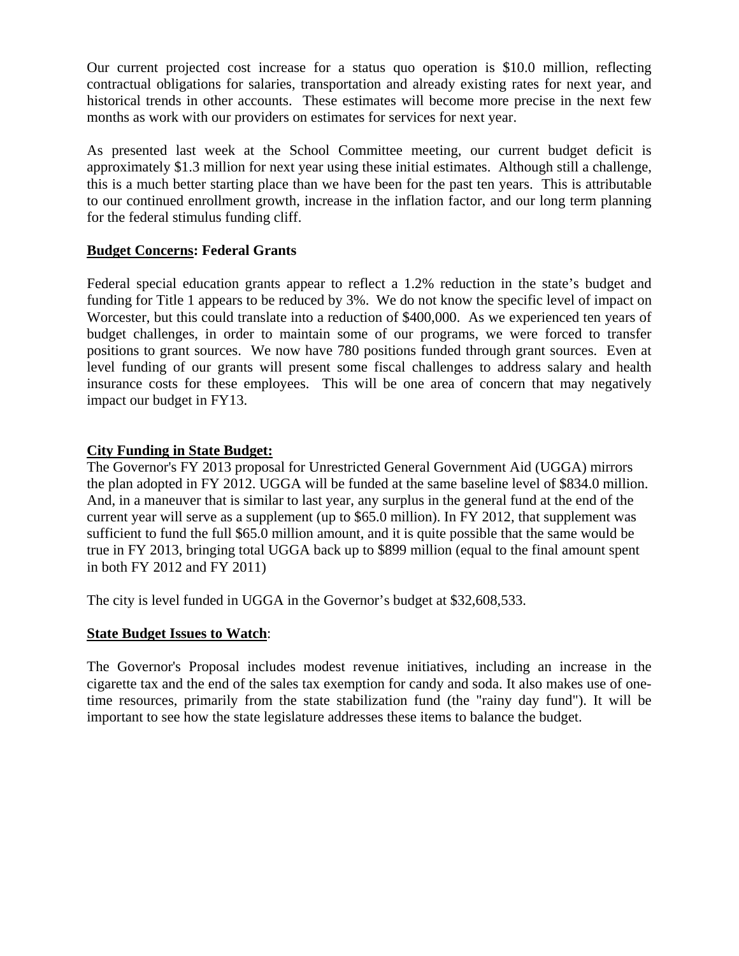Our current projected cost increase for a status quo operation is \$10.0 million, reflecting contractual obligations for salaries, transportation and already existing rates for next year, and historical trends in other accounts. These estimates will become more precise in the next few months as work with our providers on estimates for services for next year.

As presented last week at the School Committee meeting, our current budget deficit is approximately \$1.3 million for next year using these initial estimates. Although still a challenge, this is a much better starting place than we have been for the past ten years. This is attributable to our continued enrollment growth, increase in the inflation factor, and our long term planning for the federal stimulus funding cliff.

#### **Budget Concerns: Federal Grants**

Federal special education grants appear to reflect a 1.2% reduction in the state's budget and funding for Title 1 appears to be reduced by 3%. We do not know the specific level of impact on Worcester, but this could translate into a reduction of \$400,000. As we experienced ten years of budget challenges, in order to maintain some of our programs, we were forced to transfer positions to grant sources. We now have 780 positions funded through grant sources. Even at level funding of our grants will present some fiscal challenges to address salary and health insurance costs for these employees. This will be one area of concern that may negatively impact our budget in FY13.

#### **City Funding in State Budget:**

The Governor's FY 2013 proposal for Unrestricted General Government Aid (UGGA) mirrors the plan adopted in FY 2012. UGGA will be funded at the same baseline level of \$834.0 million. And, in a maneuver that is similar to last year, any surplus in the general fund at the end of the current year will serve as a supplement (up to \$65.0 million). In FY 2012, that supplement was sufficient to fund the full \$65.0 million amount, and it is quite possible that the same would be true in FY 2013, bringing total UGGA back up to \$899 million (equal to the final amount spent in both FY 2012 and FY 2011)

The city is level funded in UGGA in the Governor's budget at \$32,608,533.

#### **State Budget Issues to Watch**:

The Governor's Proposal includes modest revenue initiatives, including an increase in the cigarette tax and the end of the sales tax exemption for candy and soda. It also makes use of onetime resources, primarily from the state stabilization fund (the "rainy day fund"). It will be important to see how the state legislature addresses these items to balance the budget.